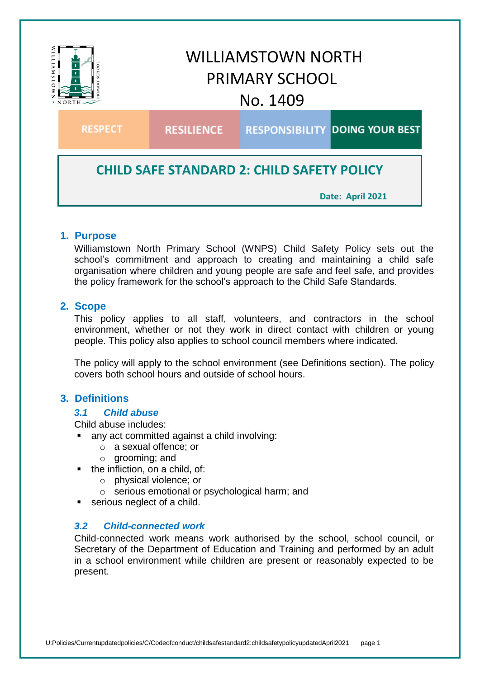

**Date: April 2021**

# **1. Purpose**

Williamstown North Primary School (WNPS) Child Safety Policy sets out the school's commitment and approach to creating and maintaining a child safe organisation where children and young people are safe and feel safe, and provides the policy framework for the school's approach to the Child Safe Standards.

#### **2. Scope**

This policy applies to all staff, volunteers, and contractors in the school environment, whether or not they work in direct contact with children or young people. This policy also applies to school council members where indicated.

The policy will apply to the school environment (see Definitions section). The policy covers both school hours and outside of school hours.

# **3. Definitions**

#### *3.1 Child abuse*

Child abuse includes:

any act committed against a child involving:

- o a sexual offence; or
- o grooming; and
- $\blacksquare$  the infliction, on a child, of:
	- o physical violence; or
	- o serious emotional or psychological harm; and
- **serious neglect of a child.**

#### *3.2 Child-connected work*

Child-connected work means work authorised by the school, school council, or Secretary of the Department of Education and Training and performed by an adult in a school environment while children are present or reasonably expected to be present.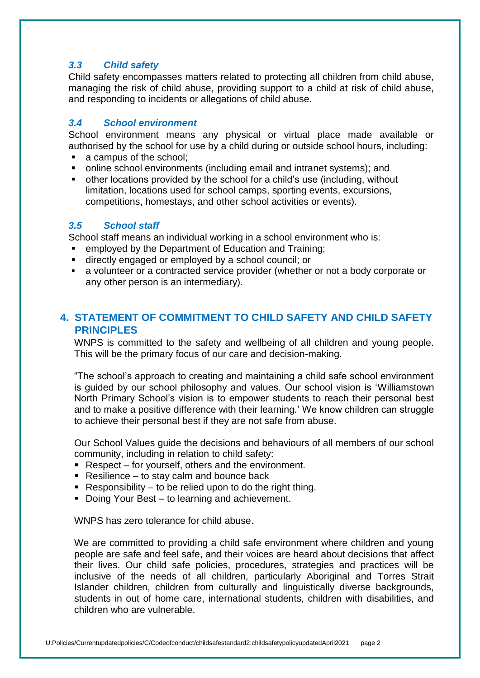### *3.3 Child safety*

Child safety encompasses matters related to protecting all children from child abuse, managing the risk of child abuse, providing support to a child at risk of child abuse, and responding to incidents or allegations of child abuse.

### *3.4 School environment*

School environment means any physical or virtual place made available or authorised by the school for use by a child during or outside school hours, including:

- a campus of the school;
- online school environments (including email and intranet systems); and
- other locations provided by the school for a child's use (including, without limitation, locations used for school camps, sporting events, excursions, competitions, homestays, and other school activities or events).

#### *3.5 School staff*

School staff means an individual working in a school environment who is:

- **EXECUTE:** employed by the Department of Education and Training;
- directly engaged or employed by a school council; or
- a volunteer or a contracted service provider (whether or not a body corporate or any other person is an intermediary).

# **4. STATEMENT OF COMMITMENT TO CHILD SAFETY AND CHILD SAFETY PRINCIPLES**

WNPS is committed to the safety and wellbeing of all children and young people. This will be the primary focus of our care and decision-making.

"The school's approach to creating and maintaining a child safe school environment is guided by our school philosophy and values. Our school vision is 'Williamstown North Primary School's vision is to empower students to reach their personal best and to make a positive difference with their learning*.*' We know children can struggle to achieve their personal best if they are not safe from abuse.

Our School Values guide the decisions and behaviours of all members of our school community, including in relation to child safety:

- Respect for yourself, others and the environment.
- Resilience to stay calm and bounce back
- Responsibility to be relied upon to do the right thing.
- Doing Your Best to learning and achievement.

WNPS has zero tolerance for child abuse.

We are committed to providing a child safe environment where children and young people are safe and feel safe, and their voices are heard about decisions that affect their lives. Our child safe policies, procedures, strategies and practices will be inclusive of the needs of all children, particularly Aboriginal and Torres Strait Islander children, children from culturally and linguistically diverse backgrounds, students in out of home care, international students, children with disabilities, and children who are vulnerable.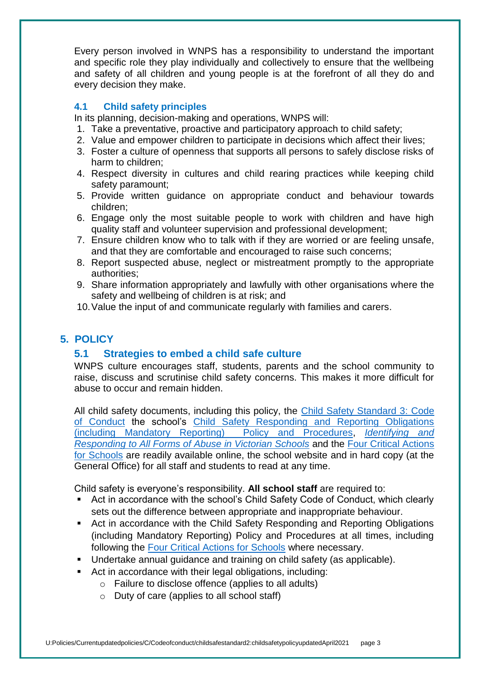Every person involved in WNPS has a responsibility to understand the important and specific role they play individually and collectively to ensure that the wellbeing and safety of all children and young people is at the forefront of all they do and every decision they make.

### **4.1 Child safety principles**

In its planning, decision-making and operations, WNPS will:

- 1. Take a preventative, proactive and participatory approach to child safety;
- 2. Value and empower children to participate in decisions which affect their lives;
- 3. Foster a culture of openness that supports all persons to safely disclose risks of harm to children;
- 4. Respect diversity in cultures and child rearing practices while keeping child safety paramount;
- 5. Provide written guidance on appropriate conduct and behaviour towards children;
- 6. Engage only the most suitable people to work with children and have high quality staff and volunteer supervision and professional development;
- 7. Ensure children know who to talk with if they are worried or are feeling unsafe, and that they are comfortable and encouraged to raise such concerns;
- 8. Report suspected abuse, neglect or mistreatment promptly to the appropriate authorities;
- 9. Share information appropriately and lawfully with other organisations where the safety and wellbeing of children is at risk; and
- 10.Value the input of and communicate regularly with families and carers.

# **5. POLICY**

# **5.1 Strategies to embed a child safe culture**

WNPS culture encourages staff, students, parents and the school community to raise, discuss and scrutinise child safety concerns. This makes it more difficult for abuse to occur and remain hidden.

All child safety documents, including this policy, the [Child Safety Standard 3: Code](https://www.willynthps.vic.edu.au/uploaded_files/media/child_safe_standard_3_updated_29th_april_2021.pdf)  [of Conduct](https://www.willynthps.vic.edu.au/uploaded_files/media/child_safe_standard_3_updated_29th_april_2021.pdf) the school's [Child Safety Responding and Reporting Obligations](https://www.willynthps.vic.edu.au/uploaded_files/media/child_safety_responding_reporting_obligations_updated_april_2021.pdf)  [\(including Mandatory Reporting\) Policy and Procedures,](https://www.willynthps.vic.edu.au/uploaded_files/media/child_safety_responding_reporting_obligations_updated_april_2021.pdf) *[Identifying and](https://www.education.vic.gov.au/Documents/about/programs/health/protect/ChildSafeStandard5_SchoolsGuide.pdf)  [Responding to All Forms of Abuse in Victorian Schools](https://www.education.vic.gov.au/Documents/about/programs/health/protect/ChildSafeStandard5_SchoolsGuide.pdf)* and the [Four Critical Actions](https://www.education.vic.gov.au/Documents/about/programs/health/protect/FourCriticalActions_ChildAbuse.pdf)  [for Schools](https://www.education.vic.gov.au/Documents/about/programs/health/protect/FourCriticalActions_ChildAbuse.pdf) are readily available online, the school website and in hard copy (at the General Office) for all staff and students to read at any time.

Child safety is everyone's responsibility. **All school staff** are required to:

- Act in accordance with the school's Child Safety Code of Conduct, which clearly sets out the difference between appropriate and inappropriate behaviour.
- Act in accordance with the Child Safety Responding and Reporting Obligations (including Mandatory Reporting) Policy and Procedures at all times, including following the [Four Critical Actions for Schools](https://www.education.vic.gov.au/Documents/about/programs/health/protect/FourCriticalActions_ChildAbuse.pdf) where necessary.
- **Undertake annual quidance and training on child safety (as applicable).**
- Act in accordance with their legal obligations, including:
	- o Failure to disclose offence (applies to all adults)
	- $\circ$  Duty of care (applies to all school staff)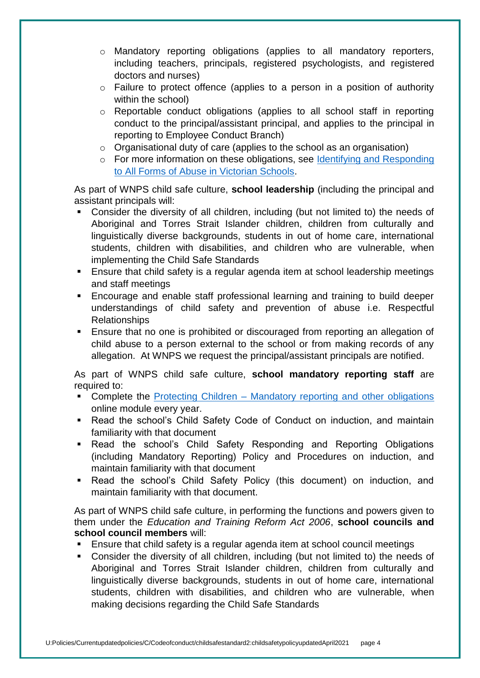- o Mandatory reporting obligations (applies to all mandatory reporters, including teachers, principals, registered psychologists, and registered doctors and nurses)
- o Failure to protect offence (applies to a person in a position of authority within the school)
- o Reportable conduct obligations (applies to all school staff in reporting conduct to the principal/assistant principal, and applies to the principal in reporting to Employee Conduct Branch)
- o Organisational duty of care (applies to the school as an organisation)
- o For more information on these obligations, see Identifying and Responding [to All Forms of Abuse in Victorian Schools.](https://www.education.vic.gov.au/Documents/about/programs/health/protect/ChildSafeStandard5_SchoolsGuide.pdf)

As part of WNPS child safe culture, **school leadership** (including the principal and assistant principals will:

- Consider the diversity of all children, including (but not limited to) the needs of Aboriginal and Torres Strait Islander children, children from culturally and linguistically diverse backgrounds, students in out of home care, international students, children with disabilities, and children who are vulnerable, when implementing the Child Safe Standards
- Ensure that child safety is a regular agenda item at school leadership meetings and staff meetings
- Encourage and enable staff professional learning and training to build deeper understandings of child safety and prevention of abuse i.e. Respectful Relationships
- Ensure that no one is prohibited or discouraged from reporting an allegation of child abuse to a person external to the school or from making records of any allegation. At WNPS we request the principal/assistant principals are notified.

As part of WNPS child safe culture, **school mandatory reporting staff** are required to:

- Complete the Protecting Children [Mandatory reporting and other obligations](http://elearn.com.au/det/protectingchildren/) online module every year.
- Read the school's Child Safety Code of Conduct on induction, and maintain familiarity with that document
- Read the school's Child Safety Responding and Reporting Obligations (including Mandatory Reporting) Policy and Procedures on induction, and maintain familiarity with that document
- Read the school's Child Safety Policy (this document) on induction, and maintain familiarity with that document.

As part of WNPS child safe culture, in performing the functions and powers given to them under the *Education and Training Reform Act 2006*, **school councils and school council members** will:

- Ensure that child safety is a regular agenda item at school council meetings
- Consider the diversity of all children, including (but not limited to) the needs of Aboriginal and Torres Strait Islander children, children from culturally and linguistically diverse backgrounds, students in out of home care, international students, children with disabilities, and children who are vulnerable, when making decisions regarding the Child Safe Standards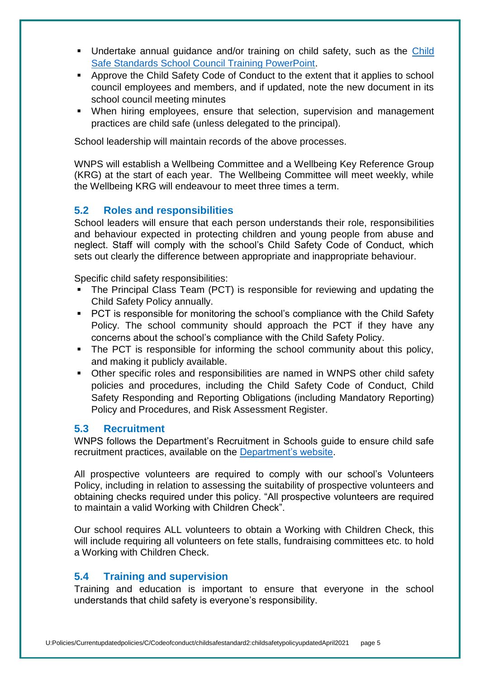- Undertake annual guidance and/or training on child safety, such as the [Child](https://www.education.vic.gov.au/Documents/about/programs/health/protect/school-council-training.pptx)  [Safe Standards School Council Training PowerPoint.](https://www.education.vic.gov.au/Documents/about/programs/health/protect/school-council-training.pptx)
- Approve the Child Safety Code of Conduct to the extent that it applies to school council employees and members, and if updated, note the new document in its school council meeting minutes
- When hiring employees, ensure that selection, supervision and management practices are child safe (unless delegated to the principal).

School leadership will maintain records of the above processes.

WNPS will establish a Wellbeing Committee and a Wellbeing Key Reference Group (KRG) at the start of each year. The Wellbeing Committee will meet weekly, while the Wellbeing KRG will endeavour to meet three times a term.

# **5.2 Roles and responsibilities**

School leaders will ensure that each person understands their role, responsibilities and behaviour expected in protecting children and young people from abuse and neglect. Staff will comply with the school's Child Safety Code of Conduct, which sets out clearly the difference between appropriate and inappropriate behaviour.

Specific child safety responsibilities:

- The Principal Class Team (PCT) is responsible for reviewing and updating the Child Safety Policy annually.
- **PCT** is responsible for monitoring the school's compliance with the Child Safety Policy. The school community should approach the PCT if they have any concerns about the school's compliance with the Child Safety Policy.
- The PCT is responsible for informing the school community about this policy, and making it publicly available.
- Other specific roles and responsibilities are named in WNPS other child safety policies and procedures, including the Child Safety Code of Conduct, Child Safety Responding and Reporting Obligations (including Mandatory Reporting) Policy and Procedures, and Risk Assessment Register.

# **5.3 Recruitment**

WNPS follows the Department's Recruitment in Schools guide to ensure child safe recruitment practices, available on the [Department's website.](https://www.education.vic.gov.au/hrweb/careers/Pages/recruitinsch.aspx)

All prospective volunteers are required to comply with our school's Volunteers Policy, including in relation to assessing the suitability of prospective volunteers and obtaining checks required under this policy. "All prospective volunteers are required to maintain a valid Working with Children Check".

Our school requires ALL volunteers to obtain a Working with Children Check, this will include requiring all volunteers on fete stalls, fundraising committees etc. to hold a Working with Children Check.

# **5.4 Training and supervision**

Training and education is important to ensure that everyone in the school understands that child safety is everyone's responsibility.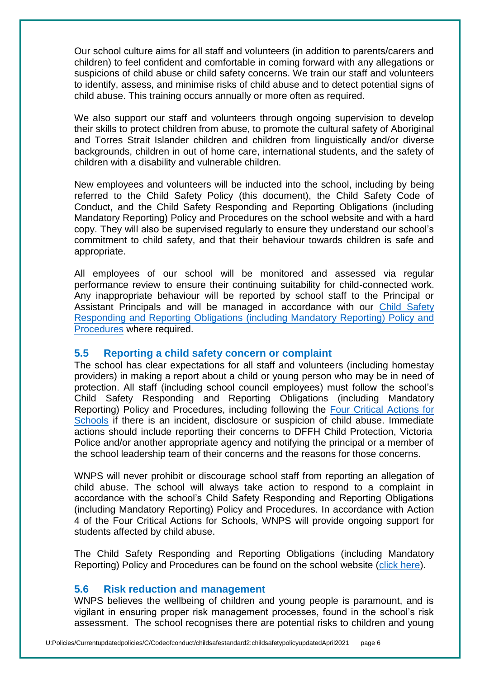Our school culture aims for all staff and volunteers (in addition to parents/carers and children) to feel confident and comfortable in coming forward with any allegations or suspicions of child abuse or child safety concerns. We train our staff and volunteers to identify, assess, and minimise risks of child abuse and to detect potential signs of child abuse. This training occurs annually or more often as required.

We also support our staff and volunteers through ongoing supervision to develop their skills to protect children from abuse, to promote the cultural safety of Aboriginal and Torres Strait Islander children and children from linguistically and/or diverse backgrounds, children in out of home care, international students, and the safety of children with a disability and vulnerable children.

New employees and volunteers will be inducted into the school, including by being referred to the Child Safety Policy (this document), the Child Safety Code of Conduct, and the Child Safety Responding and Reporting Obligations (including Mandatory Reporting) Policy and Procedures on the school website and with a hard copy. They will also be supervised regularly to ensure they understand our school's commitment to child safety, and that their behaviour towards children is safe and appropriate.

All employees of our school will be monitored and assessed via regular performance review to ensure their continuing suitability for child-connected work. Any inappropriate behaviour will be reported by school staff to the Principal or Assistant Principals and will be managed in accordance with our [Child Safety](https://www.willynthps.vic.edu.au/uploaded_files/media/child_safety_responding_reporting_obligations_updated_april_2021.pdf)  [Responding](https://www.willynthps.vic.edu.au/uploaded_files/media/child_safety_responding_reporting_obligations_updated_april_2021.pdf) and Reporting Obligations (including Mandatory Reporting) Policy and [Procedures](https://www.willynthps.vic.edu.au/uploaded_files/media/child_safety_responding_reporting_obligations_updated_april_2021.pdf) where required.

#### **5.5 Reporting a child safety concern or complaint**

The school has clear expectations for all staff and volunteers (including homestay providers) in making a report about a child or young person who may be in need of protection. All staff (including school council employees) must follow the school's Child Safety Responding and Reporting Obligations (including Mandatory Reporting) Policy and Procedures, including following the [Four Critical Actions for](https://www.education.vic.gov.au/Documents/about/programs/health/protect/FourCriticalActions_ChildAbuse.pdf)  [Schools](https://www.education.vic.gov.au/Documents/about/programs/health/protect/FourCriticalActions_ChildAbuse.pdf) if there is an incident, disclosure or suspicion of child abuse. Immediate actions should include reporting their concerns to DFFH Child Protection, Victoria Police and/or another appropriate agency and notifying the principal or a member of the school leadership team of their concerns and the reasons for those concerns.

WNPS will never prohibit or discourage school staff from reporting an allegation of child abuse. The school will always take action to respond to a complaint in accordance with the school's Child Safety Responding and Reporting Obligations (including Mandatory Reporting) Policy and Procedures. In accordance with Action 4 of the Four Critical Actions for Schools, WNPS will provide ongoing support for students affected by child abuse.

The Child Safety Responding and Reporting Obligations (including Mandatory Reporting) Policy and Procedures can be found on the school website [\(click here\)](https://www.willynthps.vic.edu.au/uploaded_files/media/child_safety_responding_reporting_obligations_updated_april_2021.pdf).

#### **5.6 Risk reduction and management**

WNPS believes the wellbeing of children and young people is paramount, and is vigilant in ensuring proper risk management processes, found in the school's risk assessment. The school recognises there are potential risks to children and young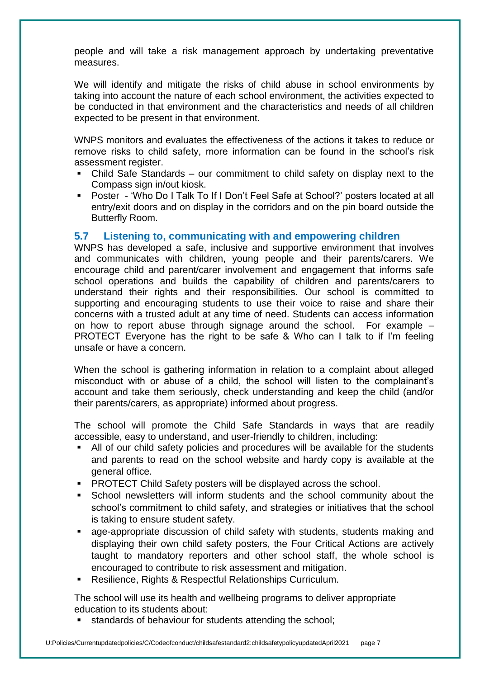people and will take a risk management approach by undertaking preventative measures.

We will identify and mitigate the risks of child abuse in school environments by taking into account the nature of each school environment, the activities expected to be conducted in that environment and the characteristics and needs of all children expected to be present in that environment.

WNPS monitors and evaluates the effectiveness of the actions it takes to reduce or remove risks to child safety, more information can be found in the school's risk assessment register.

- Child Safe Standards our commitment to child safety on display next to the Compass sign in/out kiosk.
- Poster 'Who Do I Talk To If I Don't Feel Safe at School?' posters located at all entry/exit doors and on display in the corridors and on the pin board outside the Butterfly Room.

# **5.7 Listening to, communicating with and empowering children**

WNPS has developed a safe, inclusive and supportive environment that involves and communicates with children, young people and their parents/carers. We encourage child and parent/carer involvement and engagement that informs safe school operations and builds the capability of children and parents/carers to understand their rights and their responsibilities. Our school is committed to supporting and encouraging students to use their voice to raise and share their concerns with a trusted adult at any time of need. Students can access information on how to report abuse through signage around the school. For example – PROTECT Everyone has the right to be safe & Who can I talk to if I'm feeling unsafe or have a concern.

When the school is gathering information in relation to a complaint about alleged misconduct with or abuse of a child, the school will listen to the complainant's account and take them seriously, check understanding and keep the child (and/or their parents/carers, as appropriate) informed about progress.

The school will promote the Child Safe Standards in ways that are readily accessible, easy to understand, and user-friendly to children, including:

- All of our child safety policies and procedures will be available for the students and parents to read on the school website and hardy copy is available at the general office.
- **PROTECT Child Safety posters will be displayed across the school.**
- School newsletters will inform students and the school community about the school's commitment to child safety, and strategies or initiatives that the school is taking to ensure student safety.
- age-appropriate discussion of child safety with students, students making and displaying their own child safety posters, the Four Critical Actions are actively taught to mandatory reporters and other school staff, the whole school is encouraged to contribute to risk assessment and mitigation.
- Resilience, Rights & Respectful Relationships Curriculum.

The school will use its health and wellbeing programs to deliver appropriate education to its students about:

**standards of behaviour for students attending the school;**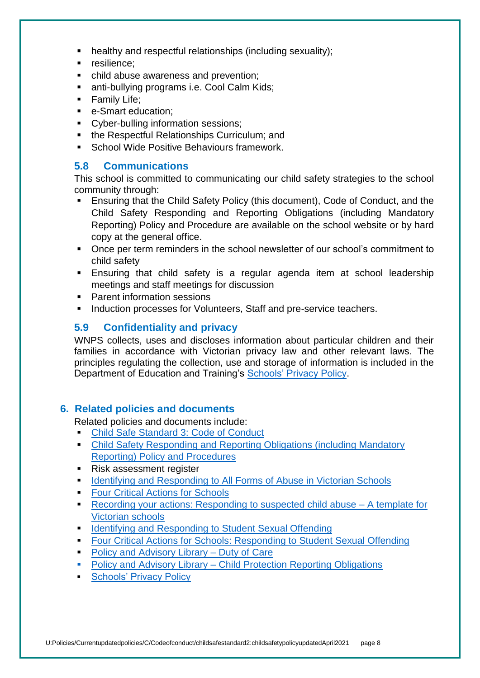- healthy and respectful relationships (including sexuality);
- resilience;
- child abuse awareness and prevention;
- anti-bullying programs i.e. Cool Calm Kids;
- **Family Life;**
- e-Smart education;
- Cyber-bulling information sessions;
- the Respectful Relationships Curriculum; and
- School Wide Positive Behaviours framework.

### **5.8 Communications**

This school is committed to communicating our child safety strategies to the school community through:

- Ensuring that the Child Safety Policy (this document), Code of Conduct, and the Child Safety Responding and Reporting Obligations (including Mandatory Reporting) Policy and Procedure are available on the school website or by hard copy at the general office.
- Once per term reminders in the school newsletter of our school's commitment to child safety
- Ensuring that child safety is a regular agenda item at school leadership meetings and staff meetings for discussion
- **Parent information sessions**
- **Induction processes for Volunteers, Staff and pre-service teachers.**

### **5.9 Confidentiality and privacy**

WNPS collects, uses and discloses information about particular children and their families in accordance with Victorian privacy law and other relevant laws. The principles regulating the collection, use and storage of information is included in the Department of Education and Training's [Schools' Privacy Policy.](https://www.education.vic.gov.au/Pages/schoolsprivacypolicy.aspx)

#### **6. Related policies and documents**

Related policies and documents include:

- [Child Safe Standard 3: Code of Conduct](https://www.willynthps.vic.edu.au/uploaded_files/media/child_safe_standard_3_updated_29th_april_2021.pdf)
- [Child Safety Responding and Reporting Obligations \(including Mandatory](https://www.willynthps.vic.edu.au/uploaded_files/media/child_safety_responding_reporting_obligations_updated_april_2021.pdf)  [Reporting\) Policy and Procedures](https://www.willynthps.vic.edu.au/uploaded_files/media/child_safety_responding_reporting_obligations_updated_april_2021.pdf)
- Risk assessment register
- **IDENTIFY [Identifying and Responding to All Forms of Abuse in Victorian Schools](https://www.education.vic.gov.au/Documents/about/programs/health/protect/ChildSafeStandard5_SchoolsGuide.pdf)**
- [Four Critical Actions for Schools](https://www.education.vic.gov.au/Documents/about/programs/health/protect/FourCriticalActions_ChildAbuse.pdf)
- [Recording your actions: Responding to suspected child abuse –](https://www.education.vic.gov.au/Documents/about/programs/health/protect/PROTECT_Schoolstemplate.pdf) A template for [Victorian schools](https://www.education.vic.gov.au/Documents/about/programs/health/protect/PROTECT_Schoolstemplate.pdf)
- **IDENTIFY 1** [Identifying and Responding to Student Sexual Offending](https://www.education.vic.gov.au/Documents/about/programs/health/protect/SSO_Policy.pdf)
- **[Four Critical Actions for Schools: Responding to Student Sexual Offending](https://www.education.vic.gov.au/Documents/about/programs/health/protect/FourCriticalActions_SSO.pdf)**
- [Policy and Advisory Library –](https://www.education.vic.gov.au/school/principals/spag/safety/Pages/dutyofcare.aspx) Duty of Care
- Policy and Advisory Library [Child Protection Reporting Obligations](https://www.education.vic.gov.au/school/principals/spag/safety/Pages/childprotectobligation.aspx)
- **[Schools' Privacy Policy](https://www.education.vic.gov.au/Pages/schoolsprivacypolicy.aspx)**